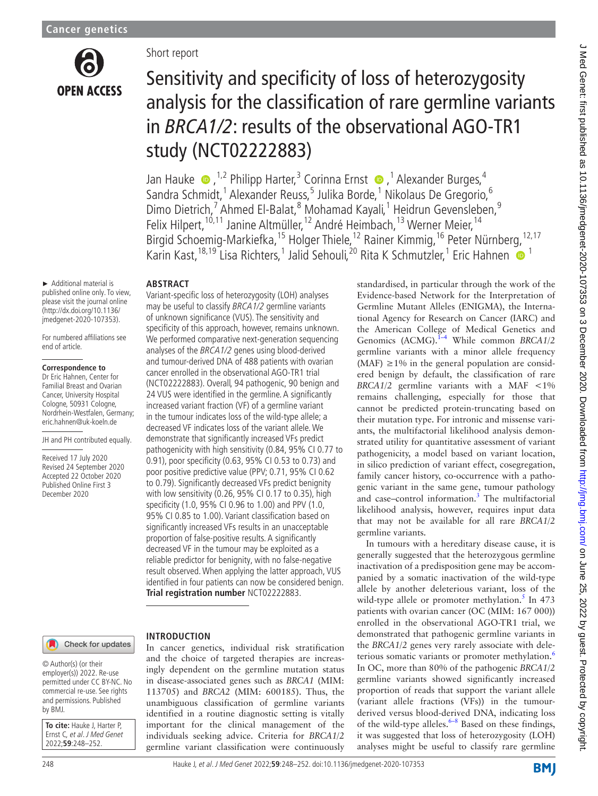

# Short report Sensitivity and specificity of loss of heterozygosity analysis for the classification of rare germline variants in *BRCA1/2*: results of the observational AGO-TR1 study (NCT02222883)

Jan Hauke  $\bullet$  , <sup>1,2</sup> Philipp Harter,<sup>3</sup> Corinna Ernst  $\bullet$  ,<sup>1</sup> Alexander Burges,<sup>4</sup> Sandra Schmidt,<sup>1</sup> Alexander Reuss,<sup>5</sup> Julika Borde,<sup>1</sup> Nikolaus De Gregorio,<sup>6</sup> Dimo Dietrich,<sup>7</sup> Ahmed El-Balat,<sup>8</sup> Mohamad Kayali,<sup>1</sup> Heidrun Gevensleben,<sup>9</sup> Felix Hilpert,<sup>10,11</sup> Janine Altmüller,<sup>12</sup> André Heimbach,<sup>13</sup> Werner Meier,<sup>14</sup> Birgid Schoemig-Markiefka,<sup>15</sup> Holger Thiele,<sup>12</sup> Rainer Kimmig,<sup>16</sup> Peter Nürnberg,<sup>12,17</sup> Karin Kast,<sup>18,19</sup> Lisa Richters,<sup>1</sup> Jalid Sehouli,<sup>20</sup> Rita K Schmutzler,<sup>1</sup> Eric Hahnen **O** <sup>1</sup>

germline variants.

standardised, in particular through the work of the Evidence-based Network for the Interpretation of Germline Mutant Alleles (ENIGMA), the International Agency for Research on Cancer (IARC) and the American College of Medical Genetics and Genomics (ACMG).<sup>1-4</sup> While common *BRCA1/2* germline variants with a minor allele frequency (MAF)  $\geq$ 1% in the general population are considered benign by default, the classification of rare *BRCA1/2* germline variants with a MAF <1% remains challenging, especially for those that cannot be predicted protein-truncating based on their mutation type. For intronic and missense variants, the multifactorial likelihood analysis demonstrated utility for quantitative assessment of variant pathogenicity, a model based on variant location, in silico prediction of variant effect, cosegregation, family cancer history, co-occurrence with a pathogenic variant in the same gene, tumour pathology and case-control information.<sup>[3](#page-3-1)</sup> The multifactorial likelihood analysis, however, requires input data that may not be available for all rare *BRCA1/2*

In tumours with a hereditary disease cause, it is generally suggested that the heterozygous germline inactivation of a predisposition gene may be accompanied by a somatic inactivation of the wild-type allele by another deleterious variant, loss of the wild-type allele or promoter methylation.<sup>[5](#page-3-2)</sup> In 473 patients with ovarian cancer (OC (MIM: 167 000)) enrolled in the observational AGO-TR1 trial, we demonstrated that pathogenic germline variants in the *BRCA1/2* genes very rarely associate with dele-terious somatic variants or promoter methylation.<sup>[6](#page-3-3)</sup> In OC, more than 80% of the pathogenic *BRCA1/2* germline variants showed significantly increased proportion of reads that support the variant allele (variant allele fractions (VFs)) in the tumourderived versus blood-derived DNA, indicating loss of the wild-type alleles. $6-8$  Based on these findings, it was suggested that loss of heterozygosity (LOH) analyses might be useful to classify rare germline

#### **ABSTRACT** Variant-specific loss of heterozygosity (LOH) analyses

**INTRODUCTION**

► Additional material is published online only. To view, please visit the journal online (http://dx.doi.org/10.1136/ jmedgenet-2020-107353).

For numbered affiliations see end of article.

#### **Correspondence to**

Dr Eric Hahnen, Center for Familial Breast and Ovarian Cancer, University Hospital Cologne, 50931 Cologne, Nordrhein-Westfalen, Germany; eric.hahnen@uk-koeln.de

JH and PH contributed equally.

Received 17 July 2020 Revised 24 September 2020 Accepted 22 October 2020 Published Online First 3 December 2020

# of unknown significance (VUS). The sensitivity and specificity of this approach, however, remains unknown. We performed comparative next-generation sequencing analyses of the BRCA1/2 genes using blood-derived and tumour-derived DNA of 488 patients with ovarian cancer enrolled in the observational AGO-TR1 trial (NCT02222883). Overall, 94 pathogenic, 90 benign and 24 VUS were identified in the germline. A significantly increased variant fraction (VF) of a germline variant in the tumour indicates loss of the wild-type allele; a decreased VF indicates loss of the variant allele. We demonstrate that significantly increased VFs predict pathogenicity with high sensitivity (0.84, 95% CI 0.77 to 0.91), poor specificity (0.63, 95% CI 0.53 to 0.73) and poor positive predictive value (PPV; 0.71, 95% CI 0.62 to 0.79). Significantly decreased VFs predict benignity with low sensitivity (0.26, 95% CI 0.17 to 0.35), high specificity (1.0, 95% CI 0.96 to 1.00) and PPV (1.0, 95% CI 0.85 to 1.00). Variant classification based on significantly increased VFs results in an unacceptable proportion of false-positive results. A significantly decreased VF in the tumour may be exploited as a reliable predictor for benignity, with no false-negative result observed. When applying the latter approach, VUS identified in four patients can now be considered benign. **Trial registration number** <NCT02222883>.

In cancer genetics, individual risk stratification and the choice of targeted therapies are increasingly dependent on the germline mutation status in disease-associated genes such as *BRCA1* (MIM: 113705) and *BRCA2* (MIM: 600185). Thus, the unambiguous classification of germline variants identified in a routine diagnostic setting is vitally important for the clinical management of the individuals seeking advice. Criteria for *BRCA1/2* germline variant classification were continuously

may be useful to classify BRCA1/2 germline variants

## Check for updates

© Author(s) (or their employer(s)) 2022. Re-use permitted under CC BY-NC. No commercial re-use. See rights and permissions. Published by BMJ.

**To cite:** Hauke J, Harter P, Ernst C, et al. J Med Genet 2022;**59**:248–252.

248 Hauke J, et al. J Med Genet 2022;**59**:248–252. doi:10.1136/jmedgenet-2020-107353

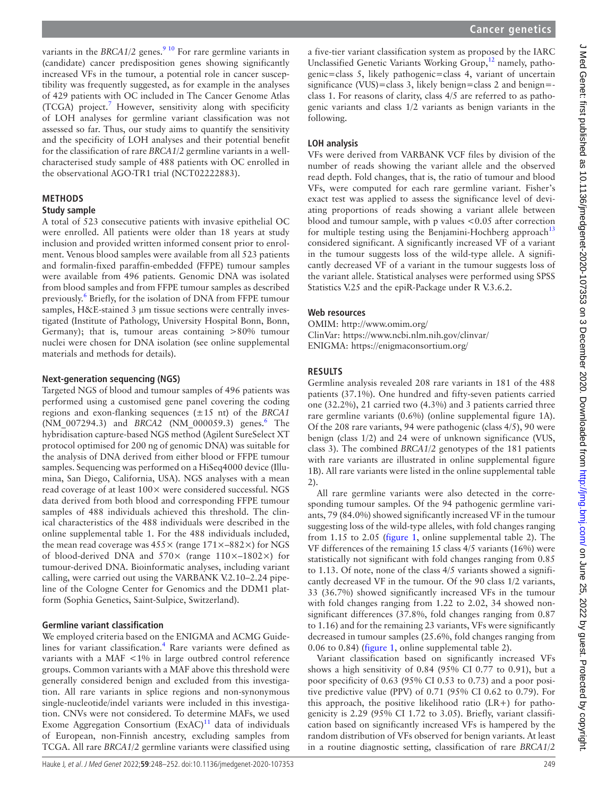variants in the *BRCA1/2* genes.<sup>9 10</sup> For rare germline variants in (candidate) cancer predisposition genes showing significantly increased VFs in the tumour, a potential role in cancer susceptibility was frequently suggested, as for example in the analyses of 429 patients with OC included in The Cancer Genome Atlas (TCGA) project.<sup>[7](#page-3-4)</sup> However, sensitivity along with specificity of LOH analyses for germline variant classification was not assessed so far. Thus, our study aims to quantify the sensitivity and the specificity of LOH analyses and their potential benefit for the classification of rare *BRCA1/2* germline variants in a wellcharacterised study sample of 488 patients with OC enrolled in the observational AGO-TR1 trial (NCT02222883).

# **METHODS**

#### **Study sample**

A total of 523 consecutive patients with invasive epithelial OC were enrolled. All patients were older than 18 years at study inclusion and provided written informed consent prior to enrolment. Venous blood samples were available from all 523 patients and formalin-fixed paraffin-embedded (FFPE) tumour samples were available from 496 patients. Genomic DNA was isolated from blood samples and from FFPE tumour samples as described previously.<sup>6</sup> Briefly, for the isolation of DNA from FFPE tumour samples, H&E-stained 3 µm tissue sections were centrally investigated (Institute of Pathology, University Hospital Bonn, Bonn, Germany); that is, tumour areas containing >80% tumour nuclei were chosen for DNA isolation (see [online supplemental](https://dx.doi.org/10.1136/jmedgenet-2020-107353)  [materials and methods](https://dx.doi.org/10.1136/jmedgenet-2020-107353) for details).

#### **Next-generation sequencing (NGS)**

Targeted NGS of blood and tumour samples of 496 patients was performed using a customised gene panel covering the coding regions and exon-flanking sequences (±15 nt) of the *BRCA1* (NM\_007294.3) and *BRCA2* (NM\_000059.3) genes.<sup>[6](#page-3-3)</sup> The hybridisation capture-based NGS method (Agilent SureSelect XT protocol optimised for 200 ng of genomic DNA) was suitable for the analysis of DNA derived from either blood or FFPE tumour samples. Sequencing was performed on a HiSeq4000 device (Illumina, San Diego, California, USA). NGS analyses with a mean read coverage of at least  $100\times$  were considered successful. NGS data derived from both blood and corresponding FFPE tumour samples of 488 individuals achieved this threshold. The clinical characteristics of the 488 individuals were described in the [online supplemental table 1](https://dx.doi.org/10.1136/jmedgenet-2020-107353). For the 488 individuals included, the mean read coverage was  $455 \times$  (range  $171 \times -882 \times$ ) for NGS of blood-derived DNA and  $570\times$  (range  $110\times$ –1802 $\times$ ) for tumour-derived DNA. Bioinformatic analyses, including variant calling, were carried out using the VARBANK V.2.10–2.24 pipeline of the Cologne Center for Genomics and the DDM1 platform (Sophia Genetics, Saint-Sulpice, Switzerland).

#### **Germline variant classification**

We employed criteria based on the ENIGMA and ACMG Guide-lines for variant classification.<sup>[4](#page-3-5)</sup> Rare variants were defined as variants with a MAF <1% in large outbred control reference groups. Common variants with a MAF above this threshold were generally considered benign and excluded from this investigation. All rare variants in splice regions and non-synonymous single-nucleotide/indel variants were included in this investigation. CNVs were not considered. To determine MAFs, we used Exome Aggregation Consortium  $(ExAC)^{11}$  data of individuals of European, non-Finnish ancestry, excluding samples from TCGA. All rare *BRCA1/2* germline variants were classified using

a five-tier variant classification system as proposed by the IARC Unclassified Genetic Variants Working Group,<sup>12</sup> namely, pathogenic=class 5, likely pathogenic=class 4, variant of uncertain significance (VUS)=class 3, likely benign=class 2 and benign=class 1. For reasons of clarity, class 4/5 are referred to as pathogenic variants and class 1/2 variants as benign variants in the following.

# **LOH analysis**

VFs were derived from VARBANK VCF files by division of the number of reads showing the variant allele and the observed read depth. Fold changes, that is, the ratio of tumour and blood VFs, were computed for each rare germline variant. Fisher's exact test was applied to assess the significance level of deviating proportions of reads showing a variant allele between blood and tumour sample, with p values <0.05 after correction for multiple testing using the Benjamini-Hochberg approach<sup>[13](#page-4-3)</sup> considered significant. A significantly increased VF of a variant in the tumour suggests loss of the wild-type allele. A significantly decreased VF of a variant in the tumour suggests loss of the variant allele. Statistical analyses were performed using SPSS Statistics V.25 and the epiR-Package under R V.3.6.2.

#### **Web resources**

OMIM:<http://www.omim.org/> ClinVar: <https://www.ncbi.nlm.nih.gov/clinvar/> ENIGMA: <https://enigmaconsortium.org/>

# **RESULTS**

Germline analysis revealed 208 rare variants in 181 of the 488 patients (37.1%). One hundred and fifty-seven patients carried one (32.2%), 21 carried two (4.3%) and 3 patients carried three rare germline variants (0.6%) ([online supplemental figure 1A\)](https://dx.doi.org/10.1136/jmedgenet-2020-107353). Of the 208 rare variants, 94 were pathogenic (class 4/5), 90 were benign (class 1/2) and 24 were of unknown significance (VUS, class 3). The combined *BRCA1/2* genotypes of the 181 patients with rare variants are illustrated in [online supplemental figure](https://dx.doi.org/10.1136/jmedgenet-2020-107353) [1B](https://dx.doi.org/10.1136/jmedgenet-2020-107353)). All rare variants were listed in the [online supplemental table](https://dx.doi.org/10.1136/jmedgenet-2020-107353) [2\)](https://dx.doi.org/10.1136/jmedgenet-2020-107353).

All rare germline variants were also detected in the corresponding tumour samples. Of the 94 pathogenic germline variants, 79 (84.0%) showed significantly increased VF in the tumour suggesting loss of the wild-type alleles, with fold changes ranging from 1.15 to 2.05 [\(figure](#page-2-0) 1, [online supplemental table 2](https://dx.doi.org/10.1136/jmedgenet-2020-107353)). The VF differences of the remaining 15 class 4/5 variants (16%) were statistically not significant with fold changes ranging from 0.85 to 1.13. Of note, none of the class 4/5 variants showed a significantly decreased VF in the tumour. Of the 90 class 1/2 variants, 33 (36.7%) showed significantly increased VFs in the tumour with fold changes ranging from 1.22 to 2.02, 34 showed nonsignificant differences (37.8%, fold changes ranging from 0.87 to 1.16) and for the remaining 23 variants, VFs were significantly decreased in tumour samples (25.6%, fold changes ranging from 0.06 to 0.84) [\(figure](#page-2-0) 1, [online supplemental table 2\)](https://dx.doi.org/10.1136/jmedgenet-2020-107353).

Variant classification based on significantly increased VFs shows a high sensitivity of 0.84 (95% CI 0.77 to 0.91), but a poor specificity of 0.63 (95% CI 0.53 to 0.73) and a poor positive predictive value (PPV) of 0.71 (95% CI 0.62 to 0.79). For this approach, the positive likelihood ratio  $(LR+)$  for pathogenicity is 2.29 (95% CI 1.72 to 3.05). Briefly, variant classification based on significantly increased VFs is hampered by the random distribution of VFs observed for benign variants. At least in a routine diagnostic setting, classification of rare *BRCA1/2*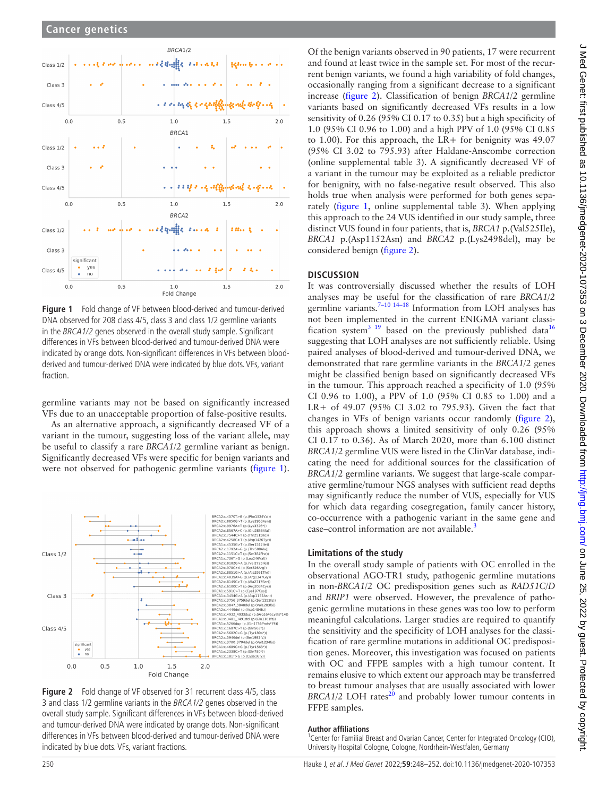

<span id="page-2-0"></span>**Figure 1** Fold change of VF between blood-derived and tumour-derived DNA observed for 208 class 4/5, class 3 and class 1/2 germline variants in the BRCA1/2 genes observed in the overall study sample. Significant differences in VFs between blood-derived and tumour-derived DNA were indicated by orange dots. Non-significant differences in VFs between bloodderived and tumour-derived DNA were indicated by blue dots. VFs, variant fraction.

germline variants may not be based on significantly increased VFs due to an unacceptable proportion of false-positive results.

As an alternative approach, a significantly decreased VF of a variant in the tumour, suggesting loss of the variant allele, may be useful to classify a rare *BRCA1/2* germline variant as benign. Significantly decreased VFs were specific for benign variants and were not observed for pathogenic germline variants [\(figure](#page-2-0) 1).



<span id="page-2-1"></span>

Of the benign variants observed in 90 patients, 17 were recurrent and found at least twice in the sample set. For most of the recurrent benign variants, we found a high variability of fold changes, occasionally ranging from a significant decrease to a significant increase [\(figure](#page-2-1) 2). Classification of benign *BRCA1/2* germline variants based on significantly decreased VFs results in a low sensitivity of 0.26 (95% CI 0.17 to 0.35) but a high specificity of 1.0 (95% CI 0.96 to 1.00) and a high PPV of 1.0 (95% CI 0.85 to 1.00). For this approach, the LR+ for benignity was 49.07 (95% CI 3.02 to 795.93) after Haldane-Anscombe correction ([online supplemental table 3\)](https://dx.doi.org/10.1136/jmedgenet-2020-107353). A significantly decreased VF of a variant in the tumour may be exploited as a reliable predictor for benignity, with no false-negative result observed. This also holds true when analysis were performed for both genes separately [\(figure](#page-2-0) 1, [online supplemental table 3\)](https://dx.doi.org/10.1136/jmedgenet-2020-107353). When applying this approach to the 24 VUS identified in our study sample, three distinct VUS found in four patients, that is, *BRCA1* p.(Val525Ile), *BRCA1* p.(Asp1152Asn) and *BRCA2* p.(Lys2498del), may be considered benign [\(figure](#page-2-1) 2).

## **DISCUSSION**

It was controversially discussed whether the results of LOH analyses may be useful for the classification of rare *BRCA1/2* germline variants.<sup>7-10 14-18</sup> Information from LOH analyses has not been implemented in the current ENIGMA variant classi-fication system<sup>3 19</sup> based on the previously published data<sup>[16](#page-4-4)</sup> suggesting that LOH analyses are not sufficiently reliable. Using paired analyses of blood-derived and tumour-derived DNA, we demonstrated that rare germline variants in the *BRCA1/2* genes might be classified benign based on significantly decreased VFs in the tumour. This approach reached a specificity of 1.0 (95% CI 0.96 to 1.00), a PPV of 1.0 (95% CI 0.85 to 1.00) and a LR+ of 49.07 (95% CI 3.02 to 795.93). Given the fact that changes in VFs of benign variants occur randomly [\(figure](#page-2-1) 2), this approach shows a limited sensitivity of only 0.26 (95% CI 0.17 to 0.36). As of March 2020, more than 6.100 distinct *BRCA1/2* germline VUS were listed in the ClinVar database, indicating the need for additional sources for the classification of *BRCA1/2* germline variants. We suggest that large-scale comparative germline/tumour NGS analyses with sufficient read depths may significantly reduce the number of VUS, especially for VUS for which data regarding cosegregation, family cancer history, co-occurrence with a pathogenic variant in the same gene and case–control information are not available.<sup>[3](#page-3-1)</sup>

## **Limitations of the study**

In the overall study sample of patients with OC enrolled in the observational AGO-TR1 study, pathogenic germline mutations in non-*BRCA1/2* OC predisposition genes such as *RAD51C/D* and *BRIP1* were observed. However, the prevalence of pathogenic germline mutations in these genes was too low to perform meaningful calculations. Larger studies are required to quantify the sensitivity and the specificity of LOH analyses for the classification of rare germline mutations in additional OC predisposition genes. Moreover, this investigation was focused on patients with OC and FFPE samples with a high tumour content. It remains elusive to which extent our approach may be transferred to breast tumour analyses that are usually associated with lower *BRCA1/2* LOH rates<sup>20</sup> and probably lower tumour contents in FFPE samples.

#### **Author affiliations**

<sup>1</sup> Center for Familial Breast and Ovarian Cancer, Center for Integrated Oncology (CIO), University Hospital Cologne, Cologne, Nordrhein-Westfalen, Germany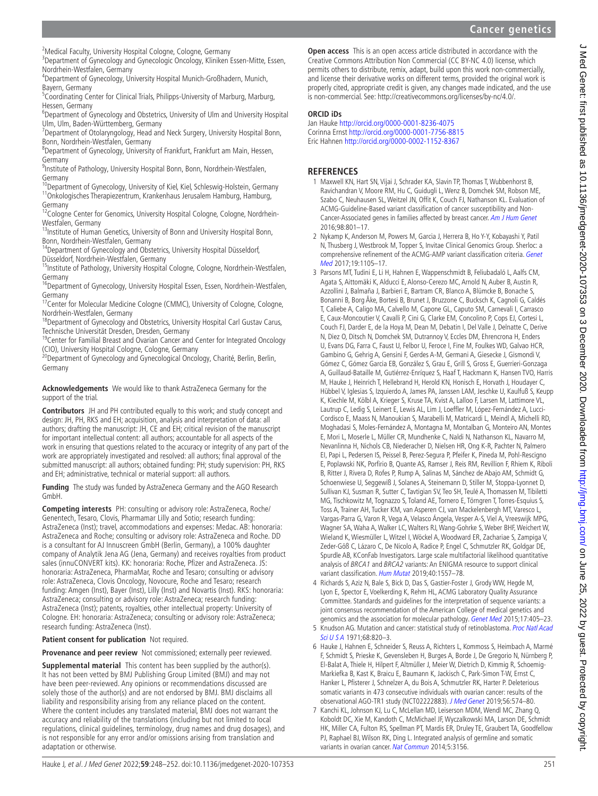<sup>2</sup>Medical Faculty, University Hospital Cologne, Cologne, Germany

<sup>3</sup>Department of Gynecology and Gynecologic Oncology, Kliniken Essen-Mitte, Essen,

Nordrhein-Westfalen, Germany<br><sup>4</sup>Department of Gynecology, University Hospital Munich-Großhadern, Munich, Bayern, Germany

<sup>5</sup>Coordinating Center for Clinical Trials, Philipps-University of Marburg, Marburg, Hessen, Germany

<sup>6</sup>Department of Gynecology and Obstetrics, University of Ulm and University Hospital Ulm, Ulm, Baden-Württemberg, Germany <sup>7</sup>

<sup>7</sup> Department of Otolaryngology, Head and Neck Surgery, University Hospital Bonn, Bonn, Nordrhein-Westfalen, Germany <sup>8</sup>

Department of Gynecology, University of Frankfurt, Frankfurt am Main, Hessen, Germany

<sup>9</sup>Institute of Pathology, University Hospital Bonn, Bonn, Nordrhein-Westfalen,

Germany<br><sup>10</sup>Department of Gynecology, University of Kiel, Kiel, Schleswig-Holstein, Germany <sup>11</sup>Onkologisches Therapiezentrum, Krankenhaus Jerusalem Hamburg, Hamburg, Germany

<sup>12</sup>Cologne Center for Genomics, University Hospital Cologne, Cologne, Nordrhein-<br>Westfalen, Germany

<sup>13</sup>Institute of Human Genetics, University of Bonn and University Hospital Bonn, Bonn and University Hospital Bonn,

<sup>14</sup>Department of Gynecology and Obstetrics, University Hospital Düsseldorf, Düsseldorf, 14Destrical Düsseldorf, Düsseldorf, 1

<sup>15</sup>Institute of Pathology, University Hospital Cologne, Cologne, Nordrhein-Westfalen, Germany

<sup>16</sup>Department of Gynecology, University Hospital Essen, Essen, Nordrhein-Westfalen, Germany

<sup>17</sup>Center for Molecular Medicine Cologne (CMMC), University of Cologne, Cologne,

Nordrhein-Westfalen, Germany<br><sup>18</sup>Department of Gynecology and Obstetrics, University Hospital Carl Gustav Carus, Technische Universität Dresden, Dresden, Germany

<sup>19</sup>Center for Familial Breast and Ovarian Cancer and Center for Integrated Oncology

(CIO), University Hospital Cologne, Cologne, Germany<br><sup>20</sup>Department of Gynecology and Gynecological Oncology, Charité, Berlin, Berlin, Germany

**Acknowledgements** We would like to thank AstraZeneca Germany for the support of the trial.

**Contributors** JH and PH contributed equally to this work; and study concept and design: JH, PH, RKS and EH; acquisition, analysis and interpretation of data: all authors; drafting the manuscript: JH, CE and EH; critical revision of the manuscript for important intellectual content: all authors; accountable for all aspects of the work in ensuring that questions related to the accuracy or integrity of any part of the work are appropriately investigated and resolved: all authors; final approval of the submitted manuscript: all authors; obtained funding: PH; study supervision: PH, RKS and EH; administrative, technical or material support: all authors.

**Funding** The study was funded by AstraZeneca Germany and the AGO Research GmbH.

**Competing interests** PH: consulting or advisory role: AstraZeneca, Roche/ Genentech, Tesaro, Clovis, Pharmamar Lilly and Sotio; research funding: AstraZeneca (Inst); travel, accommodations and expenses: Medac. AB: honoraria: AstraZeneca and Roche; consulting or advisory role: AstraZeneca and Roche. DD is a consultant for AJ Innuscreen GmbH (Berlin, Germany), a 100% daughter company of Analytik Jena AG (Jena, Germany) and receives royalties from product sales (innuCONVERT kits). KK: honoraria: Roche, Pfizer and AstraZeneca. JS: honoraria: AstraZeneca, PharmaMar, Roche and Tesaro; consulting or advisory role: AstraZeneca, Clovis Oncology, Novocure, Roche and Tesaro; research funding: Amgen (Inst), Bayer (Inst), Lilly (Inst) and Novartis (Inst). RKS: honoraria: AstraZeneca; consulting or advisory role: AstraZeneca; research funding: AstraZeneca (Inst); patents, royalties, other intellectual property: University of Cologne. EH: honoraria: AstraZeneca; consulting or advisory role: AstraZeneca; research funding: AstraZeneca (Inst).

**Patient consent for publication** Not required.

**Provenance and peer review** Not commissioned; externally peer reviewed.

**Supplemental material** This content has been supplied by the author(s). It has not been vetted by BMJ Publishing Group Limited (BMJ) and may not have been peer-reviewed. Any opinions or recommendations discussed are solely those of the author(s) and are not endorsed by BMJ. BMJ disclaims all liability and responsibility arising from any reliance placed on the content. Where the content includes any translated material, BMJ does not warrant the accuracy and reliability of the translations (including but not limited to local regulations, clinical guidelines, terminology, drug names and drug dosages), and is not responsible for any error and/or omissions arising from translation and adaptation or otherwise.

**Open access** This is an open access article distributed in accordance with the Creative Commons Attribution Non Commercial (CC BY-NC 4.0) license, which permits others to distribute, remix, adapt, build upon this work non-commercially, and license their derivative works on different terms, provided the original work is properly cited, appropriate credit is given, any changes made indicated, and the use is non-commercial. See: [http://creativecommons.org/licenses/by-nc/4.0/.](http://creativecommons.org/licenses/by-nc/4.0/)

# **ORCID iDs**

Jan Hauke<http://orcid.org/0000-0001-8236-4075> Corinna Ernst <http://orcid.org/0000-0001-7756-8815> Eric Hahnen<http://orcid.org/0000-0002-1152-8367>

# **REFERENCES**

- <span id="page-3-0"></span>1 Maxwell KN, Hart SN, Vijai J, Schrader KA, Slavin TP, Thomas T, Wubbenhorst B, Ravichandran V, Moore RM, Hu C, Guidugli L, Wenz B, Domchek SM, Robson ME, Szabo C, Neuhausen SL, Weitzel JN, Offit K, Couch FJ, Nathanson KL. Evaluation of ACMG-Guideline-Based variant classification of cancer susceptibility and Non-Cancer-Associated genes in families affected by breast cancer. [Am J Hum Genet](http://dx.doi.org/10.1016/j.ajhg.2016.02.024) 2016;98:801–17.
- 2 Nykamp K, Anderson M, Powers M, Garcia J, Herrera B, Ho Y-Y, Kobayashi Y, Patil N, Thusberg J, Westbrook M, Topper S, Invitae Clinical Genomics Group. Sherloc: a comprehensive refinement of the ACMG-AMP variant classification criteria. [Genet](http://dx.doi.org/10.1038/gim.2017.37)  [Med](http://dx.doi.org/10.1038/gim.2017.37) 2017:19:1105-17
- <span id="page-3-1"></span>3 Parsons MT, Tudini E, Li H, Hahnen E, Wappenschmidt B, Feliubadaló L, Aalfs CM, Agata S, Aittomäki K, Alducci E, Alonso-Cerezo MC, Arnold N, Auber B, Austin R, Azzollini J, Balmaña J, Barbieri E, Bartram CR, Blanco A, Blümcke B, Bonache S, Bonanni B, Borg Åke, Bortesi B, Brunet J, Bruzzone C, Bucksch K, Cagnoli G, Caldés T, Caliebe A, Caligo MA, Calvello M, Capone GL, Caputo SM, Carnevali I, Carrasco E, Caux-Moncoutier V, Cavalli P, Cini G, Clarke EM, Concolino P, Cops EJ, Cortesi L, Couch FJ, Darder E, de la Hoya M, Dean M, Debatin I, Del Valle J, Delnatte C, Derive N, Diez O, Ditsch N, Domchek SM, Dutrannoy V, Eccles DM, Ehrencrona H, Enders U, Evans DG, Farra C, Faust U, Felbor U, Feroce I, Fine M, Foulkes WD, Galvao HCR, Gambino G, Gehrig A, Gensini F, Gerdes A-M, Germani A, Giesecke J, Gismondi V, Gómez C, Gómez Garcia EB, González S, Grau E, Grill S, Gross E, Guerrieri-Gonzaga A, Guillaud-Bataille M, Gutiérrez-Enríquez S, Haaf T, Hackmann K, Hansen TVO, Harris M, Hauke J, Heinrich T, Hellebrand H, Herold KN, Honisch E, Horvath J, Houdayer C, Hübbel V, Iglesias S, Izquierdo A, James PA, Janssen LAM, Jeschke U, Kaulfuß S, Keupp K, Kiechle M, Kölbl A, Krieger S, Kruse TA, Kvist A, Lalloo F, Larsen M, Lattimore VL, Lautrup C, Ledig S, Leinert E, Lewis AL, Lim J, Loeffler M, López-Fernández A, Lucci-Cordisco E, Maass N, Manoukian S, Marabelli M, Matricardi L, Meindl A, Michelli RD, Moghadasi S, Moles-Fernández A, Montagna M, Montalban G, Monteiro AN, Montes E, Mori L, Moserle L, Müller CR, Mundhenke C, Naldi N, Nathanson KL, Navarro M, Nevanlinna H, Nichols CB, Niederacher D, Nielsen HR, Ong K-R, Pachter N, Palmero EI, Papi L, Pedersen IS, Peissel B, Perez-Segura P, Pfeifer K, Pineda M, Pohl-Rescigno E, Poplawski NK, Porfirio B, Quante AS, Ramser J, Reis RM, Revillion F, Rhiem K, Riboli B, Ritter J, Rivera D, Rofes P, Rump A, Salinas M, Sánchez de Abajo AM, Schmidt G, Schoenwiese U, Seggewiß J, Solanes A, Steinemann D, Stiller M, Stoppa-Lyonnet D, Sullivan KJ, Susman R, Sutter C, Tavtigian SV, Teo SH, Teulé A, Thomassen M, Tibiletti MG, Tischkowitz M, Tognazzo S, Toland AE, Tornero E, Törngren T, Torres-Esquius S, Toss A, Trainer AH, Tucker KM, van Asperen CJ, van Mackelenbergh MT, Varesco L, Vargas-Parra G, Varon R, Vega A, Velasco Ángela, Vesper A-S, Viel A, Vreeswijk MPG, Wagner SA, Waha A, Walker LC, Walters RJ, Wang-Gohrke S, Weber BHF, Weichert W, Wieland K, Wiesmüller L, Witzel I, Wöckel A, Woodward ER, Zachariae S, Zampiga V, Zeder-Göß C, Lázaro C, De Nicolo A, Radice P, Engel C, Schmutzler RK, Goldgar DE, Spurdle AB, KConFab Investigators. Large scale multifactorial likelihood quantitative analysis of BRCA1 and BRCA2 variants: An ENIGMA resource to support clinical variant classification. [Hum Mutat](http://dx.doi.org/10.1002/humu.23818) 2019:40:1557-78.
- <span id="page-3-5"></span>4 Richards S, Aziz N, Bale S, Bick D, Das S, Gastier-Foster J, Grody WW, Hegde M, Lyon E, Spector E, Voelkerding K, Rehm HL, ACMG Laboratory Quality Assurance Committee. Standards and guidelines for the interpretation of sequence variants: a joint consensus recommendation of the American College of medical genetics and genomics and the association for molecular pathology. [Genet Med](http://dx.doi.org/10.1038/gim.2015.30) 2015;17:405–23.
- <span id="page-3-2"></span>5 Knudson AG. Mutation and cancer: statistical study of retinoblastoma. [Proc Natl Acad](http://dx.doi.org/10.1073/pnas.68.4.820)  [Sci U S A](http://dx.doi.org/10.1073/pnas.68.4.820) 1971;68:820–3.
- <span id="page-3-3"></span>6 Hauke J, Hahnen E, Schneider S, Reuss A, Richters L, Kommoss S, Heimbach A, Marmé F, Schmidt S, Prieske K, Gevensleben H, Burges A, Borde J, De Gregorio N, Nürnberg P, El-Balat A, Thiele H, Hilpert F, Altmüller J, Meier W, Dietrich D, Kimmig R, Schoemig-Markiefka B, Kast K, Braicu E, Baumann K, Jackisch C, Park-Simon T-W, Ernst C, Hanker L, Pfisterer J, Schnelzer A, du Bois A, Schmutzler RK, Harter P. Deleterious somatic variants in 473 consecutive individuals with ovarian cancer: results of the observational AGO-TR1 study (NCT02222883). [J Med Genet](http://dx.doi.org/10.1136/jmedgenet-2018-105930) 2019;56:574–80.

<span id="page-3-4"></span>7 Kanchi KL, Johnson KJ, Lu C, McLellan MD, Leiserson MDM, Wendl MC, Zhang Q, Koboldt DC, Xie M, Kandoth C, McMichael JF, Wyczalkowski MA, Larson DE, Schmidt HK, Miller CA, Fulton RS, Spellman PT, Mardis ER, Druley TE, Graubert TA, Goodfellow PJ, Raphael BJ, Wilson RK, Ding L. Integrated analysis of germline and somatic variants in ovarian cancer. [Nat Commun](http://dx.doi.org/10.1038/ncomms4156) 2014;5:3156.